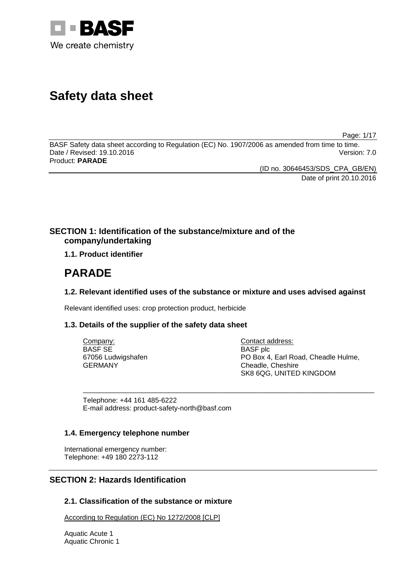

# **Safety data sheet**

Page: 1/17

BASF Safety data sheet according to Regulation (EC) No. 1907/2006 as amended from time to time. Date / Revised: 19.10.2016 Version: 7.0 Product: **PARADE** 

> (ID no. 30646453/SDS\_CPA\_GB/EN) Date of print 20.10.2016

# **SECTION 1: Identification of the substance/mixture and of the company/undertaking**

**1.1. Product identifier**

# **PARADE**

# **1.2. Relevant identified uses of the substance or mixture and uses advised against**

Relevant identified uses: crop protection product, herbicide

# **1.3. Details of the supplier of the safety data sheet**

| Company:           | Contact address:                    |
|--------------------|-------------------------------------|
| <b>BASF SE</b>     | <b>BASF</b> plc                     |
| 67056 Ludwigshafen | PO Box 4, Earl Road, Cheadle Hulme, |
| <b>GERMANY</b>     | Cheadle, Cheshire                   |
|                    | SK8 6QG, UNITED KINGDOM             |

\_\_\_\_\_\_\_\_\_\_\_\_\_\_\_\_\_\_\_\_\_\_\_\_\_\_\_\_\_\_\_\_\_\_\_\_\_\_\_\_\_\_\_\_\_\_\_\_\_\_\_\_\_\_\_\_\_\_\_\_\_\_\_\_\_\_\_\_\_\_\_\_\_\_\_

Telephone: +44 161 485-6222 E-mail address: product-safety-north@basf.com

# **1.4. Emergency telephone number**

International emergency number: Telephone: +49 180 2273-112

# **SECTION 2: Hazards Identification**

# **2.1. Classification of the substance or mixture**

According to Regulation (EC) No 1272/2008 [CLP]

Aquatic Acute 1 Aquatic Chronic 1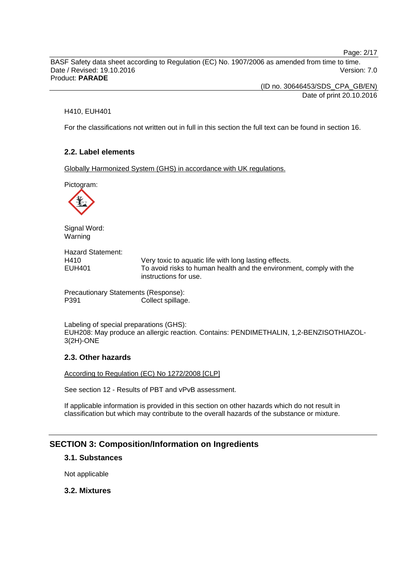Page: 2/17

BASF Safety data sheet according to Regulation (EC) No. 1907/2006 as amended from time to time. Date / Revised: 19.10.2016 Version: 7.0 Product: **PARADE** 

> (ID no. 30646453/SDS\_CPA\_GB/EN) Date of print 20.10.2016

### H410, EUH401

For the classifications not written out in full in this section the full text can be found in section 16.

# **2.2. Label elements**

Globally Harmonized System (GHS) in accordance with UK regulations.

Pictogram:



Signal Word: Warning

Hazard Statement: H410 Very toxic to aquatic life with long lasting effects. EUH401 To avoid risks to human health and the environment, comply with the instructions for use.

Precautionary Statements (Response): P391 Collect spillage.

Labeling of special preparations (GHS): EUH208: May produce an allergic reaction. Contains: PENDIMETHALIN, 1,2-BENZISOTHIAZOL-3(2H)-ONE

# **2.3. Other hazards**

According to Regulation (EC) No 1272/2008 [CLP]

See section 12 - Results of PBT and vPvB assessment.

If applicable information is provided in this section on other hazards which do not result in classification but which may contribute to the overall hazards of the substance or mixture.

# **SECTION 3: Composition/Information on Ingredients**

# **3.1. Substances**

Not applicable

### **3.2. Mixtures**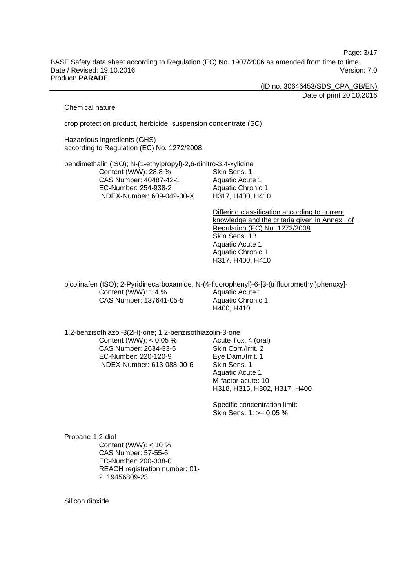Page: 3/17

BASF Safety data sheet according to Regulation (EC) No. 1907/2006 as amended from time to time. Date / Revised: 19.10.2016 Version: 7.0 Product: **PARADE** 

(ID no. 30646453/SDS\_CPA\_GB/EN)

Date of print 20.10.2016

#### Chemical nature

crop protection product, herbicide, suspension concentrate (SC)

Hazardous ingredients (GHS) according to Regulation (EC) No. 1272/2008

pendimethalin (ISO); N-(1-ethylpropyl)-2,6-dinitro-3,4-xylidine Content (W/W): 28.8 % CAS Number: 40487-42-1 EC-Number: 254-938-2 INDEX-Number: 609-042-00-X Skin Sens. 1 Aquatic Acute 1 Aquatic Chronic 1 H317, H400, H410

> Differing classification according to current knowledge and the criteria given in Annex I of Regulation (EC) No. 1272/2008 Skin Sens. 1B Aquatic Acute 1 Aquatic Chronic 1 H317, H400, H410

picolinafen (ISO); 2-Pyridinecarboxamide, N-(4-fluorophenyl)-6-[3-(trifluoromethyl)phenoxy]- Content (W/W): 1.4 % CAS Number: 137641-05-5 Aquatic Acute 1 Aquatic Chronic 1 H400, H410

1,2-benzisothiazol-3(2H)-one; 1,2-benzisothiazolin-3-one

Content (W/W):  $< 0.05$  % CAS Number: 2634-33-5 EC-Number: 220-120-9 INDEX-Number: 613-088-00-6 Acute Tox. 4 (oral) Skin Corr./Irrit. 2 Eye Dam./Irrit. 1 Skin Sens. 1 Aquatic Acute 1 M-factor acute: 10 H318, H315, H302, H317, H400

Specific concentration limit: Skin Sens. 1: >= 0.05 %

Propane-1,2-diol Content (W/W): < 10 % CAS Number: 57-55-6 EC-Number: 200-338-0 REACH registration number: 01- 2119456809-23

Silicon dioxide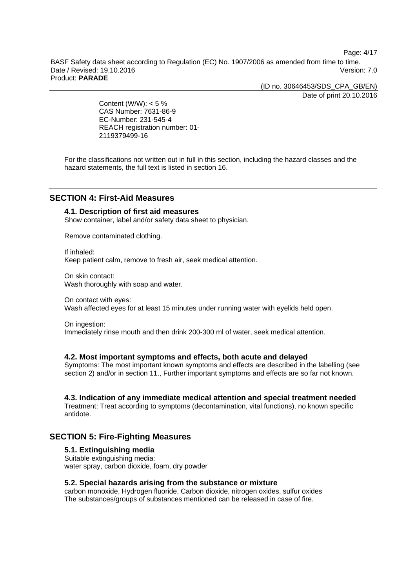Page: 4/17

BASF Safety data sheet according to Regulation (EC) No. 1907/2006 as amended from time to time. Date / Revised: 19.10.2016 Version: 7.0 Product: **PARADE** 

(ID no. 30646453/SDS\_CPA\_GB/EN)

Date of print 20.10.2016

Content (W/W):  $< 5 \%$ CAS Number: 7631-86-9 EC-Number: 231-545-4 REACH registration number: 01- 2119379499-16

For the classifications not written out in full in this section, including the hazard classes and the hazard statements, the full text is listed in section 16.

# **SECTION 4: First-Aid Measures**

# **4.1. Description of first aid measures**

Show container, label and/or safety data sheet to physician.

Remove contaminated clothing.

If inhaled: Keep patient calm, remove to fresh air, seek medical attention.

On skin contact: Wash thoroughly with soap and water.

On contact with eyes: Wash affected eyes for at least 15 minutes under running water with eyelids held open.

On ingestion: Immediately rinse mouth and then drink 200-300 ml of water, seek medical attention.

### **4.2. Most important symptoms and effects, both acute and delayed**

Symptoms: The most important known symptoms and effects are described in the labelling (see section 2) and/or in section 11.. Further important symptoms and effects are so far not known.

# **4.3. Indication of any immediate medical attention and special treatment needed**

Treatment: Treat according to symptoms (decontamination, vital functions), no known specific antidote.

# **SECTION 5: Fire-Fighting Measures**

## **5.1. Extinguishing media**

Suitable extinguishing media: water spray, carbon dioxide, foam, dry powder

### **5.2. Special hazards arising from the substance or mixture**

carbon monoxide, Hydrogen fluoride, Carbon dioxide, nitrogen oxides, sulfur oxides The substances/groups of substances mentioned can be released in case of fire.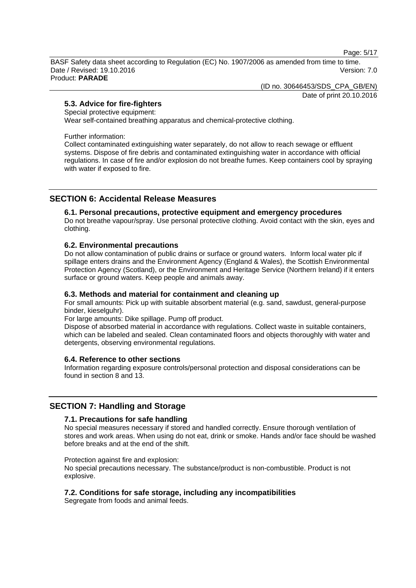Page: 5/17

BASF Safety data sheet according to Regulation (EC) No. 1907/2006 as amended from time to time. Date / Revised: 19.10.2016 Version: 7.0 Product: **PARADE** 

(ID no. 30646453/SDS\_CPA\_GB/EN)

Date of print 20.10.2016

# **5.3. Advice for fire-fighters**

Special protective equipment:

Wear self-contained breathing apparatus and chemical-protective clothing.

Further information:

Collect contaminated extinguishing water separately, do not allow to reach sewage or effluent systems. Dispose of fire debris and contaminated extinguishing water in accordance with official regulations. In case of fire and/or explosion do not breathe fumes. Keep containers cool by spraying with water if exposed to fire.

# **SECTION 6: Accidental Release Measures**

### **6.1. Personal precautions, protective equipment and emergency procedures**

Do not breathe vapour/spray. Use personal protective clothing. Avoid contact with the skin, eyes and clothing.

## **6.2. Environmental precautions**

Do not allow contamination of public drains or surface or ground waters. Inform local water plc if spillage enters drains and the Environment Agency (England & Wales), the Scottish Environmental Protection Agency (Scotland), or the Environment and Heritage Service (Northern Ireland) if it enters surface or ground waters. Keep people and animals away.

# **6.3. Methods and material for containment and cleaning up**

For small amounts: Pick up with suitable absorbent material (e.g. sand, sawdust, general-purpose binder, kieselguhr).

For large amounts: Dike spillage. Pump off product.

Dispose of absorbed material in accordance with regulations. Collect waste in suitable containers, which can be labeled and sealed. Clean contaminated floors and objects thoroughly with water and detergents, observing environmental regulations.

# **6.4. Reference to other sections**

Information regarding exposure controls/personal protection and disposal considerations can be found in section 8 and 13.

# **SECTION 7: Handling and Storage**

### **7.1. Precautions for safe handling**

No special measures necessary if stored and handled correctly. Ensure thorough ventilation of stores and work areas. When using do not eat, drink or smoke. Hands and/or face should be washed before breaks and at the end of the shift.

Protection against fire and explosion:

No special precautions necessary. The substance/product is non-combustible. Product is not explosive.

# **7.2. Conditions for safe storage, including any incompatibilities**

Segregate from foods and animal feeds.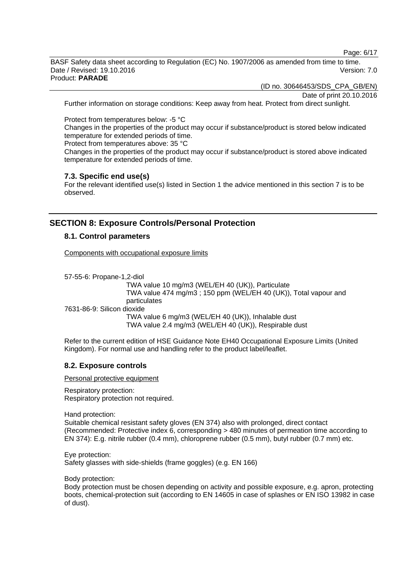Page: 6/17

BASF Safety data sheet according to Regulation (EC) No. 1907/2006 as amended from time to time. Date / Revised: 19.10.2016 Version: 7.0 Product: **PARADE** 

(ID no. 30646453/SDS\_CPA\_GB/EN)

Date of print 20.10.2016

Further information on storage conditions: Keep away from heat. Protect from direct sunlight.

Protect from temperatures below: -5 °C

Changes in the properties of the product may occur if substance/product is stored below indicated temperature for extended periods of time.

Protect from temperatures above: 35 °C

Changes in the properties of the product may occur if substance/product is stored above indicated temperature for extended periods of time.

## **7.3. Specific end use(s)**

For the relevant identified use(s) listed in Section 1 the advice mentioned in this section 7 is to be observed.

# **SECTION 8: Exposure Controls/Personal Protection**

# **8.1. Control parameters**

Components with occupational exposure limits

57-55-6: Propane-1,2-diol

 TWA value 10 mg/m3 (WEL/EH 40 (UK)), Particulate TWA value 474 mg/m3 ; 150 ppm (WEL/EH 40 (UK)), Total vapour and particulates 7631-86-9: Silicon dioxide

 TWA value 6 mg/m3 (WEL/EH 40 (UK)), Inhalable dust TWA value 2.4 mg/m3 (WEL/EH 40 (UK)), Respirable dust

Refer to the current edition of HSE Guidance Note EH40 Occupational Exposure Limits (United Kingdom). For normal use and handling refer to the product label/leaflet.

# **8.2. Exposure controls**

Personal protective equipment

Respiratory protection: Respiratory protection not required.

Hand protection:

Suitable chemical resistant safety gloves (EN 374) also with prolonged, direct contact (Recommended: Protective index 6, corresponding > 480 minutes of permeation time according to EN 374): E.g. nitrile rubber (0.4 mm), chloroprene rubber (0.5 mm), butyl rubber (0.7 mm) etc.

Eye protection: Safety glasses with side-shields (frame goggles) (e.g. EN 166)

Body protection:

Body protection must be chosen depending on activity and possible exposure, e.g. apron, protecting boots, chemical-protection suit (according to EN 14605 in case of splashes or EN ISO 13982 in case of dust).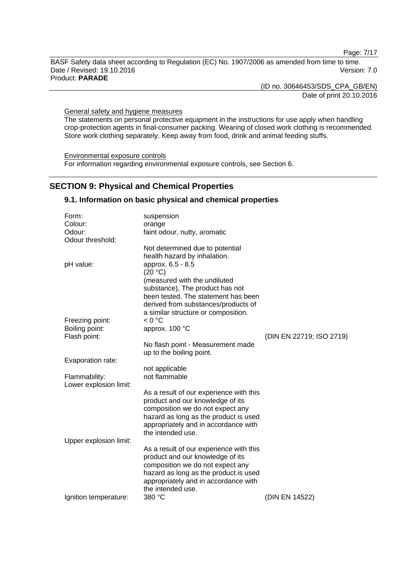Page: 7/17

BASF Safety data sheet according to Regulation (EC) No. 1907/2006 as amended from time to time. Date / Revised: 19.10.2016 Version: 7.0 Product: **PARADE** 

(ID no. 30646453/SDS\_CPA\_GB/EN)

Date of print 20.10.2016

General safety and hygiene measures

The statements on personal protective equipment in the instructions for use apply when handling crop-protection agents in final-consumer packing. Wearing of closed work clothing is recommended. Store work clothing separately. Keep away from food, drink and animal feeding stuffs.

Environmental exposure controls For information regarding environmental exposure controls, see Section 6.

# **SECTION 9: Physical and Chemical Properties**

# **9.1. Information on basic physical and chemical properties**

| Form:                             | suspension                                                                |                          |
|-----------------------------------|---------------------------------------------------------------------------|--------------------------|
| Colour:                           | orange                                                                    |                          |
| Odour:                            | faint odour, nutty, aromatic                                              |                          |
| Odour threshold:                  |                                                                           |                          |
|                                   | Not determined due to potential                                           |                          |
|                                   | health hazard by inhalation.                                              |                          |
| pH value:                         | approx. 6.5 - 8.5                                                         |                          |
|                                   | (20 °C)                                                                   |                          |
|                                   | (measured with the undiluted                                              |                          |
|                                   | substance), The product has not                                           |                          |
|                                   | been tested. The statement has been                                       |                          |
|                                   | derived from substances/products of                                       |                          |
|                                   | a similar structure or composition.                                       |                          |
| Freezing point:<br>Boiling point: | < 0 °C<br>approx. 100 °C                                                  |                          |
| Flash point:                      |                                                                           | (DIN EN 22719; ISO 2719) |
|                                   | No flash point - Measurement made                                         |                          |
|                                   | up to the boiling point.                                                  |                          |
| Evaporation rate:                 |                                                                           |                          |
|                                   | not applicable                                                            |                          |
| Flammability:                     | not flammable                                                             |                          |
| Lower explosion limit:            |                                                                           |                          |
|                                   | As a result of our experience with this                                   |                          |
|                                   | product and our knowledge of its                                          |                          |
|                                   | composition we do not expect any                                          |                          |
|                                   | hazard as long as the product is used                                     |                          |
|                                   | appropriately and in accordance with                                      |                          |
|                                   | the intended use.                                                         |                          |
| Upper explosion limit:            |                                                                           |                          |
|                                   | As a result of our experience with this                                   |                          |
|                                   | product and our knowledge of its                                          |                          |
|                                   | composition we do not expect any<br>hazard as long as the product is used |                          |
|                                   | appropriately and in accordance with                                      |                          |
|                                   | the intended use.                                                         |                          |
| Ignition temperature:             | 380 °C                                                                    | (DIN EN 14522)           |
|                                   |                                                                           |                          |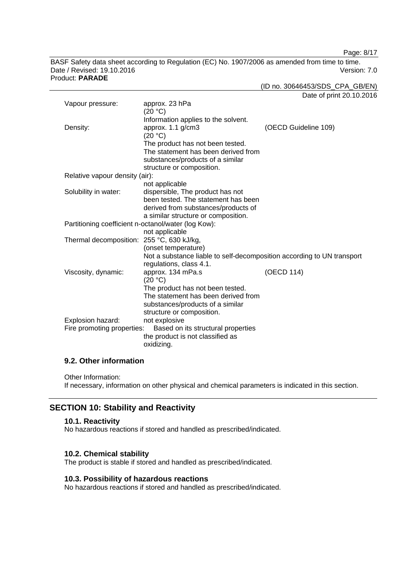Page: 8/17

BASF Safety data sheet according to Regulation (EC) No. 1907/2006 as amended from time to time. Date / Revised: 19.10.2016 Version: 7.0 Product: **PARADE** 

(ID no. 30646453/SDS\_CPA\_GB/EN)

Date of print 20.10.2016

| Vapour pressure:                                    | approx. 23 hPa                                                         |                      |
|-----------------------------------------------------|------------------------------------------------------------------------|----------------------|
|                                                     | (20 °C)                                                                |                      |
|                                                     | Information applies to the solvent.                                    |                      |
| Density:                                            | approx. 1.1 g/cm3                                                      | (OECD Guideline 109) |
|                                                     | (20 °C)                                                                |                      |
|                                                     | The product has not been tested.                                       |                      |
|                                                     | The statement has been derived from                                    |                      |
|                                                     | substances/products of a similar                                       |                      |
|                                                     | structure or composition.                                              |                      |
| Relative vapour density (air):                      |                                                                        |                      |
|                                                     | not applicable                                                         |                      |
| Solubility in water:                                | dispersible, The product has not                                       |                      |
|                                                     | been tested. The statement has been                                    |                      |
|                                                     | derived from substances/products of                                    |                      |
|                                                     | a similar structure or composition.                                    |                      |
| Partitioning coefficient n-octanol/water (log Kow): |                                                                        |                      |
|                                                     | not applicable                                                         |                      |
| Thermal decomposition: 255 °C, 630 kJ/kg,           |                                                                        |                      |
|                                                     | (onset temperature)                                                    |                      |
|                                                     | Not a substance liable to self-decomposition according to UN transport |                      |
|                                                     | regulations, class 4.1.                                                |                      |
| Viscosity, dynamic:                                 | approx. 134 mPa.s                                                      | (OECD 114)           |
|                                                     | (20 °C)                                                                |                      |
|                                                     | The product has not been tested.                                       |                      |
|                                                     | The statement has been derived from                                    |                      |
|                                                     | substances/products of a similar                                       |                      |
|                                                     | structure or composition.                                              |                      |
| Explosion hazard:                                   | not explosive                                                          |                      |
| Fire promoting properties:                          | Based on its structural properties                                     |                      |
|                                                     | the product is not classified as                                       |                      |
|                                                     | oxidizing.                                                             |                      |

# **9.2. Other information**

Other Information:

If necessary, information on other physical and chemical parameters is indicated in this section.

# **SECTION 10: Stability and Reactivity**

# **10.1. Reactivity**

No hazardous reactions if stored and handled as prescribed/indicated.

# **10.2. Chemical stability**

The product is stable if stored and handled as prescribed/indicated.

# **10.3. Possibility of hazardous reactions**

No hazardous reactions if stored and handled as prescribed/indicated.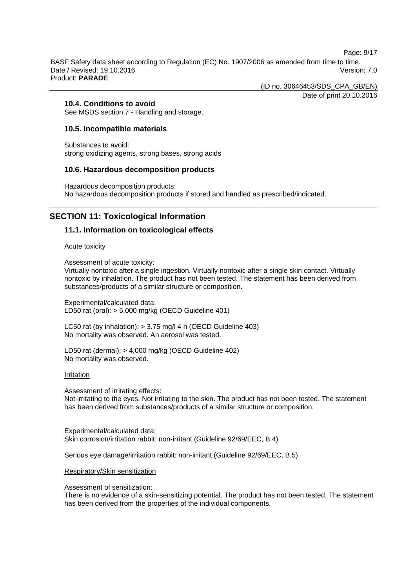Page: 9/17

BASF Safety data sheet according to Regulation (EC) No. 1907/2006 as amended from time to time. Date / Revised: 19.10.2016 Version: 7.0 Product: **PARADE** 

(ID no. 30646453/SDS\_CPA\_GB/EN)

Date of print 20.10.2016

# **10.4. Conditions to avoid**

See MSDS section 7 - Handling and storage.

### **10.5. Incompatible materials**

Substances to avoid: strong oxidizing agents, strong bases, strong acids

### **10.6. Hazardous decomposition products**

Hazardous decomposition products: No hazardous decomposition products if stored and handled as prescribed/indicated.

# **SECTION 11: Toxicological Information**

## **11.1. Information on toxicological effects**

#### Acute toxicity

Assessment of acute toxicity:

Virtually nontoxic after a single ingestion. Virtually nontoxic after a single skin contact. Virtually nontoxic by inhalation. The product has not been tested. The statement has been derived from substances/products of a similar structure or composition.

Experimental/calculated data: LD50 rat (oral): > 5,000 mg/kg (OECD Guideline 401)

LC50 rat (by inhalation): > 3.75 mg/l 4 h (OECD Guideline 403) No mortality was observed. An aerosol was tested.

LD50 rat (dermal): > 4,000 mg/kg (OECD Guideline 402) No mortality was observed.

#### **Irritation**

Assessment of irritating effects: Not irritating to the eyes. Not irritating to the skin. The product has not been tested. The statement has been derived from substances/products of a similar structure or composition.

Experimental/calculated data: Skin corrosion/irritation rabbit: non-irritant (Guideline 92/69/EEC, B.4)

Serious eye damage/irritation rabbit: non-irritant (Guideline 92/69/EEC, B.5)

### Respiratory/Skin sensitization

Assessment of sensitization:

There is no evidence of a skin-sensitizing potential. The product has not been tested. The statement has been derived from the properties of the individual components.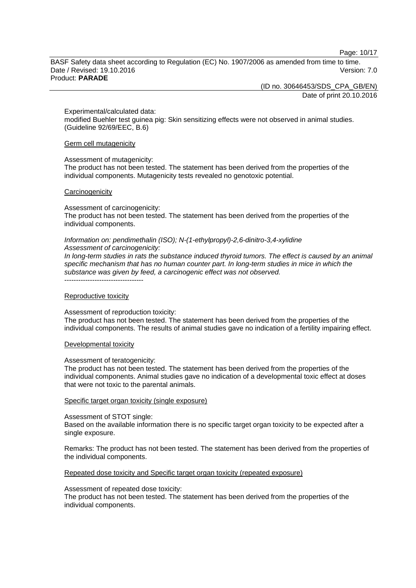Page: 10/17

BASF Safety data sheet according to Regulation (EC) No. 1907/2006 as amended from time to time. Date / Revised: 19.10.2016 **Version: 7.0** Product: **PARADE** 

(ID no. 30646453/SDS\_CPA\_GB/EN)

Date of print 20.10.2016

Experimental/calculated data:

modified Buehler test guinea pig: Skin sensitizing effects were not observed in animal studies. (Guideline 92/69/EEC, B.6)

Germ cell mutagenicity

#### Assessment of mutagenicity:

The product has not been tested. The statement has been derived from the properties of the individual components. Mutagenicity tests revealed no genotoxic potential.

#### **Carcinogenicity**

Assessment of carcinogenicity:

The product has not been tested. The statement has been derived from the properties of the individual components.

#### *Information on: pendimethalin (ISO); N-(1-ethylpropyl)-2,6-dinitro-3,4-xylidine Assessment of carcinogenicity:*

*In long-term studies in rats the substance induced thyroid tumors. The effect is caused by an animal specific mechanism that has no human counter part. In long-term studies in mice in which the substance was given by feed, a carcinogenic effect was not observed.*  ----------------------------------

#### Reproductive toxicity

Assessment of reproduction toxicity:

The product has not been tested. The statement has been derived from the properties of the individual components. The results of animal studies gave no indication of a fertility impairing effect.

### Developmental toxicity

#### Assessment of teratogenicity:

The product has not been tested. The statement has been derived from the properties of the individual components. Animal studies gave no indication of a developmental toxic effect at doses that were not toxic to the parental animals.

### Specific target organ toxicity (single exposure)

#### Assessment of STOT single:

Based on the available information there is no specific target organ toxicity to be expected after a single exposure.

Remarks: The product has not been tested. The statement has been derived from the properties of the individual components.

### Repeated dose toxicity and Specific target organ toxicity (repeated exposure)

#### Assessment of repeated dose toxicity:

The product has not been tested. The statement has been derived from the properties of the individual components.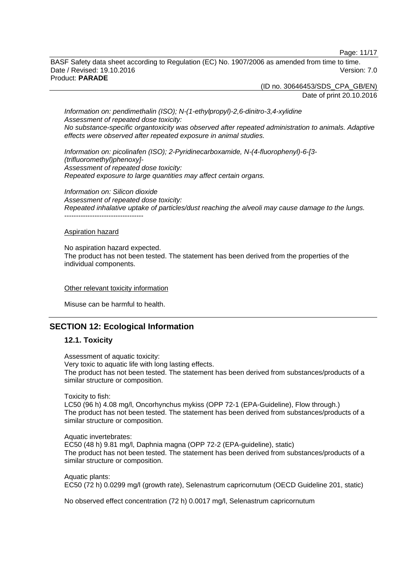Page: 11/17

BASF Safety data sheet according to Regulation (EC) No. 1907/2006 as amended from time to time. Date / Revised: 19.10.2016 **Version: 7.0** Product: **PARADE** 

> (ID no. 30646453/SDS\_CPA\_GB/EN) Date of print 20.10.2016

*Information on: pendimethalin (ISO); N-(1-ethylpropyl)-2,6-dinitro-3,4-xylidine Assessment of repeated dose toxicity: No substance-specific organtoxicity was observed after repeated administration to animals. Adaptive effects were observed after repeated exposure in animal studies.* 

*Information on: picolinafen (ISO); 2-Pyridinecarboxamide, N-(4-fluorophenyl)-6-[3- (trifluoromethyl)phenoxy]- Assessment of repeated dose toxicity: Repeated exposure to large quantities may affect certain organs.* 

*Information on: Silicon dioxide Assessment of repeated dose toxicity: Repeated inhalative uptake of particles/dust reaching the alveoli may cause damage to the lungs.*  -----------------------------------

#### Aspiration hazard

No aspiration hazard expected. The product has not been tested. The statement has been derived from the properties of the individual components.

#### Other relevant toxicity information

Misuse can be harmful to health.

# **SECTION 12: Ecological Information**

## **12.1. Toxicity**

Assessment of aquatic toxicity: Very toxic to aquatic life with long lasting effects. The product has not been tested. The statement has been derived from substances/products of a similar structure or composition.

Toxicity to fish:

LC50 (96 h) 4.08 mg/l, Oncorhynchus mykiss (OPP 72-1 (EPA-Guideline), Flow through.) The product has not been tested. The statement has been derived from substances/products of a similar structure or composition.

Aquatic invertebrates: EC50 (48 h) 9.81 mg/l, Daphnia magna (OPP 72-2 (EPA-guideline), static) The product has not been tested. The statement has been derived from substances/products of a similar structure or composition.

Aquatic plants: EC50 (72 h) 0.0299 mg/l (growth rate), Selenastrum capricornutum (OECD Guideline 201, static)

No observed effect concentration (72 h) 0.0017 mg/l, Selenastrum capricornutum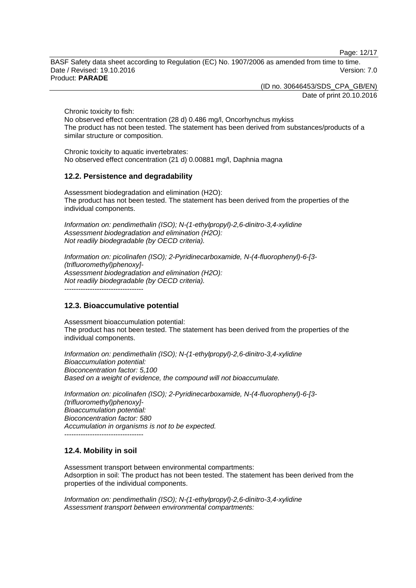Page: 12/17

BASF Safety data sheet according to Regulation (EC) No. 1907/2006 as amended from time to time. Date / Revised: 19.10.2016 **Version: 7.0** Product: **PARADE** 

(ID no. 30646453/SDS\_CPA\_GB/EN)

Date of print 20.10.2016

Chronic toxicity to fish:

No observed effect concentration (28 d) 0.486 mg/l, Oncorhynchus mykiss The product has not been tested. The statement has been derived from substances/products of a similar structure or composition.

Chronic toxicity to aquatic invertebrates: No observed effect concentration (21 d) 0.00881 mg/l, Daphnia magna

# **12.2. Persistence and degradability**

Assessment biodegradation and elimination (H2O): The product has not been tested. The statement has been derived from the properties of the individual components.

*Information on: pendimethalin (ISO); N-(1-ethylpropyl)-2,6-dinitro-3,4-xylidine Assessment biodegradation and elimination (H2O): Not readily biodegradable (by OECD criteria).* 

*Information on: picolinafen (ISO); 2-Pyridinecarboxamide, N-(4-fluorophenyl)-6-[3- (trifluoromethyl)phenoxy]- Assessment biodegradation and elimination (H2O): Not readily biodegradable (by OECD criteria).*  ----------------------------------

# **12.3. Bioaccumulative potential**

Assessment bioaccumulation potential: The product has not been tested. The statement has been derived from the properties of the individual components.

*Information on: pendimethalin (ISO); N-(1-ethylpropyl)-2,6-dinitro-3,4-xylidine Bioaccumulation potential: Bioconcentration factor: 5,100 Based on a weight of evidence, the compound will not bioaccumulate.* 

*Information on: picolinafen (ISO); 2-Pyridinecarboxamide, N-(4-fluorophenyl)-6-[3- (trifluoromethyl)phenoxy]- Bioaccumulation potential: Bioconcentration factor: 580 Accumulation in organisms is not to be expected.*  ----------------------------------

# **12.4. Mobility in soil**

Assessment transport between environmental compartments: Adsorption in soil: The product has not been tested. The statement has been derived from the properties of the individual components.

*Information on: pendimethalin (ISO); N-(1-ethylpropyl)-2,6-dinitro-3,4-xylidine Assessment transport between environmental compartments:*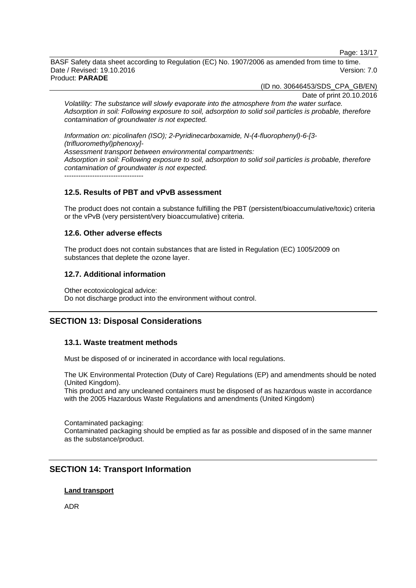Page: 13/17

BASF Safety data sheet according to Regulation (EC) No. 1907/2006 as amended from time to time. Date / Revised: 19.10.2016 Version: 7.0 Product: **PARADE** 

(ID no. 30646453/SDS\_CPA\_GB/EN)

Date of print 20.10.2016

*Volatility: The substance will slowly evaporate into the atmosphere from the water surface. Adsorption in soil: Following exposure to soil, adsorption to solid soil particles is probable, therefore contamination of groundwater is not expected.*

*Information on: picolinafen (ISO); 2-Pyridinecarboxamide, N-(4-fluorophenyl)-6-[3- (trifluoromethyl)phenoxy]- Assessment transport between environmental compartments: Adsorption in soil: Following exposure to soil, adsorption to solid soil particles is probable, therefore contamination of groundwater is not expected.*  $-$ 

# **12.5. Results of PBT and vPvB assessment**

The product does not contain a substance fulfilling the PBT (persistent/bioaccumulative/toxic) criteria or the vPvB (very persistent/very bioaccumulative) criteria.

# **12.6. Other adverse effects**

The product does not contain substances that are listed in Regulation (EC) 1005/2009 on substances that deplete the ozone layer.

# **12.7. Additional information**

Other ecotoxicological advice: Do not discharge product into the environment without control.

# **SECTION 13: Disposal Considerations**

# **13.1. Waste treatment methods**

Must be disposed of or incinerated in accordance with local regulations.

The UK Environmental Protection (Duty of Care) Regulations (EP) and amendments should be noted (United Kingdom).

This product and any uncleaned containers must be disposed of as hazardous waste in accordance with the 2005 Hazardous Waste Regulations and amendments (United Kingdom)

Contaminated packaging: Contaminated packaging should be emptied as far as possible and disposed of in the same manner as the substance/product.

# **SECTION 14: Transport Information**

# **Land transport**

ADR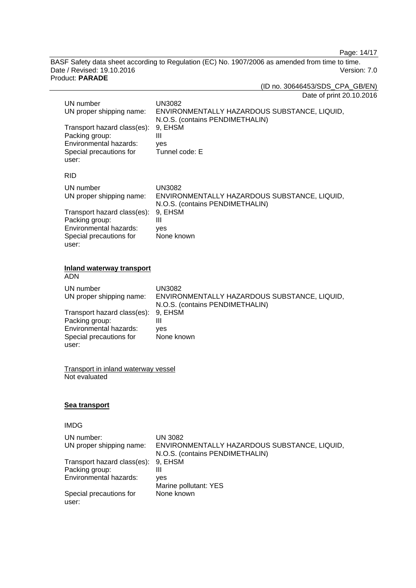Page: 14/17

BASF Safety data sheet according to Regulation (EC) No. 1907/2006 as amended from time to time. Date / Revised: 19.10.2016 Version: 7.0 Product: **PARADE** 

(ID no. 30646453/SDS\_CPA\_GB/EN)

| Date of print 20.10.2016 |  |
|--------------------------|--|
|--------------------------|--|

| UN number<br>UN proper shipping name:                                                                       | <b>UN3082</b><br>ENVIRONMENTALLY HAZARDOUS SUBSTANCE, LIQUID,<br>N.O.S. (contains PENDIMETHALIN)  |
|-------------------------------------------------------------------------------------------------------------|---------------------------------------------------------------------------------------------------|
| Transport hazard class(es):<br>Packing group:<br>Environmental hazards:<br>Special precautions for          | 9, EHSM<br>III<br>yes<br>Tunnel code: E                                                           |
| user:                                                                                                       |                                                                                                   |
| <b>RID</b>                                                                                                  |                                                                                                   |
| UN number<br>UN proper shipping name:                                                                       | <b>UN3082</b><br>ENVIRONMENTALLY HAZARDOUS SUBSTANCE, LIQUID,<br>N.O.S. (contains PENDIMETHALIN)  |
| Transport hazard class(es):<br>Packing group:<br>Environmental hazards:<br>Special precautions for<br>user: | 9, EHSM<br>III<br>yes<br>None known                                                               |
| <b>Inland waterway transport</b><br><b>ADN</b>                                                              |                                                                                                   |
| UN number<br>UN proper shipping name:                                                                       | <b>UN3082</b><br>ENVIRONMENTALLY HAZARDOUS SUBSTANCE, LIQUID,<br>N.O.S. (contains PENDIMETHALIN)  |
| Transport hazard class(es):<br>Packing group:<br>Environmental hazards:<br>Special precautions for<br>user: | 9, EHSM<br>Ш<br>yes<br>None known                                                                 |
| <b>Transport in inland waterway vessel</b><br>Not evaluated                                                 |                                                                                                   |
| <u>Sea transport</u>                                                                                        |                                                                                                   |
| IMDG                                                                                                        |                                                                                                   |
| UN number:<br>UN proper shipping name:                                                                      | <b>UN 3082</b><br>ENVIRONMENTALLY HAZARDOUS SUBSTANCE, LIQUID,<br>N.O.S. (contains PENDIMETHALIN) |
| Transport hazard class(es):<br>Packing group:<br>Environmental hazards:                                     | 9, EHSM<br>Ш<br>yes<br>Marine pollutant: YES                                                      |
| Special precautions for<br>user:                                                                            | None known                                                                                        |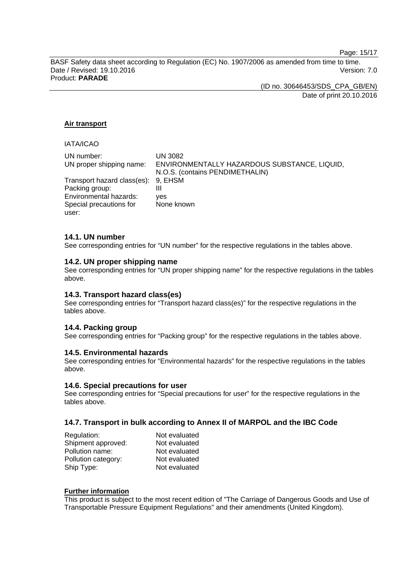Page: 15/17

BASF Safety data sheet according to Regulation (EC) No. 1907/2006 as amended from time to time. Date / Revised: 19.10.2016 **Version: 7.0** Product: **PARADE** 

(ID no. 30646453/SDS\_CPA\_GB/EN)

Date of print 20.10.2016

## **Air transport**

### IATA/ICAO

| UN number:                          | UN 3082                                                                         |
|-------------------------------------|---------------------------------------------------------------------------------|
| UN proper shipping name:            | ENVIRONMENTALLY HAZARDOUS SUBSTANCE, LIQUID,<br>N.O.S. (contains PENDIMETHALIN) |
| Transport hazard class(es): 9, EHSM |                                                                                 |
| Packing group:                      | Ш                                                                               |
| Environmental hazards:              | ves                                                                             |
| Special precautions for<br>user:    | None known                                                                      |

### **14.1. UN number**

See corresponding entries for "UN number" for the respective regulations in the tables above.

### **14.2. UN proper shipping name**

See corresponding entries for "UN proper shipping name" for the respective regulations in the tables above.

## **14.3. Transport hazard class(es)**

See corresponding entries for "Transport hazard class(es)" for the respective regulations in the tables above.

# **14.4. Packing group**

See corresponding entries for "Packing group" for the respective regulations in the tables above.

### **14.5. Environmental hazards**

See corresponding entries for "Environmental hazards" for the respective regulations in the tables above.

### **14.6. Special precautions for user**

See corresponding entries for "Special precautions for user" for the respective regulations in the tables above.

## **14.7. Transport in bulk according to Annex II of MARPOL and the IBC Code**

| Regulation:         | Not evaluated |
|---------------------|---------------|
| Shipment approved:  | Not evaluated |
| Pollution name:     | Not evaluated |
| Pollution category: | Not evaluated |
| Ship Type:          | Not evaluated |

### **Further information**

This product is subject to the most recent edition of "The Carriage of Dangerous Goods and Use of Transportable Pressure Equipment Regulations" and their amendments (United Kingdom).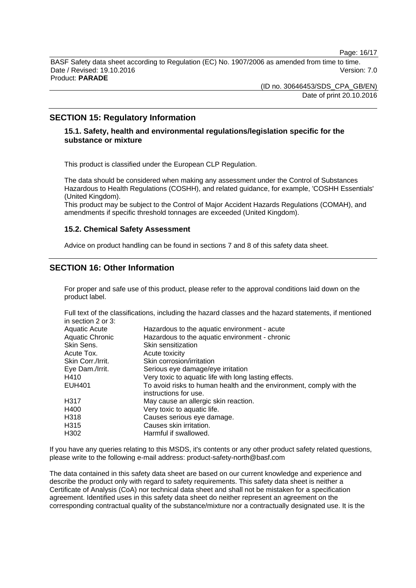Page: 16/17

BASF Safety data sheet according to Regulation (EC) No. 1907/2006 as amended from time to time. Date / Revised: 19.10.2016 Version: 7.0 Product: **PARADE** 

> (ID no. 30646453/SDS\_CPA\_GB/EN) Date of print 20.10.2016

# **SECTION 15: Regulatory Information**

# **15.1. Safety, health and environmental regulations/legislation specific for the substance or mixture**

This product is classified under the European CLP Regulation.

The data should be considered when making any assessment under the Control of Substances Hazardous to Health Regulations (COSHH), and related guidance, for example, 'COSHH Essentials' (United Kingdom).

This product may be subject to the Control of Major Accident Hazards Regulations (COMAH), and amendments if specific threshold tonnages are exceeded (United Kingdom).

### **15.2. Chemical Safety Assessment**

Advice on product handling can be found in sections 7 and 8 of this safety data sheet.

# **SECTION 16: Other Information**

For proper and safe use of this product, please refer to the approval conditions laid down on the product label.

Full text of the classifications, including the hazard classes and the hazard statements, if mentioned in section 2 or 3:

| Aquatic Acute     | Hazardous to the aquatic environment - acute                        |
|-------------------|---------------------------------------------------------------------|
| Aquatic Chronic   | Hazardous to the aquatic environment - chronic                      |
| Skin Sens.        | Skin sensitization                                                  |
| Acute Tox.        | Acute toxicity                                                      |
| Skin Corr./Irrit. | Skin corrosion/irritation                                           |
| Eye Dam./Irrit.   | Serious eye damage/eye irritation                                   |
| H410              | Very toxic to aquatic life with long lasting effects.               |
| EUH401            | To avoid risks to human health and the environment, comply with the |
|                   | instructions for use.                                               |
| H317              | May cause an allergic skin reaction.                                |
| H400              | Very toxic to aquatic life.                                         |
| H318              | Causes serious eye damage.                                          |
| H315              | Causes skin irritation.                                             |
| H302              | Harmful if swallowed.                                               |

If you have any queries relating to this MSDS, it's contents or any other product safety related questions, please write to the following e-mail address: product-safety-north@basf.com

The data contained in this safety data sheet are based on our current knowledge and experience and describe the product only with regard to safety requirements. This safety data sheet is neither a Certificate of Analysis (CoA) nor technical data sheet and shall not be mistaken for a specification agreement. Identified uses in this safety data sheet do neither represent an agreement on the corresponding contractual quality of the substance/mixture nor a contractually designated use. It is the